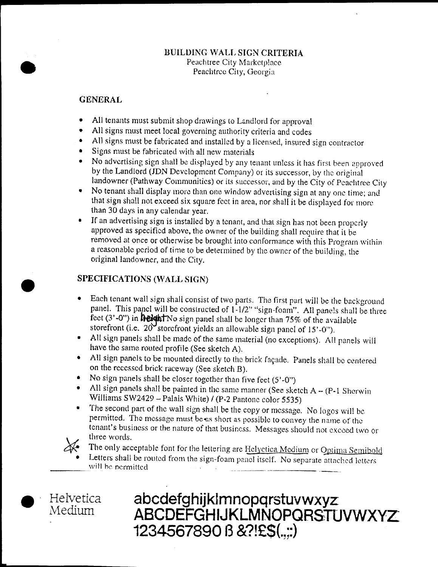# BUILDING WALL SIGN CRITERIA Peachtree City Marketplace Peachtree City, Georgia

# GENERAL

- All tenants must submit shop drawings to Landlord for approval
- All signs must meet local governing authority criteria and codes  $\bullet$
- $\bullet$ All signs must be fabricated and installed by a licensed, insured sign contractor
- Signs must be fabricated with all new materials  $\bullet$
- No advertising sign shall be displayed by any tenant unless it has first been approved by the Landlord (JDN Development Company) or its successor, by the original landowner (Pathway Communities) or its successor, and by the City of Peachtree City
- No tenant shall display more than one window advertising sign at any one time; and  $\bullet$ that sign shall not exceed six square fect in area, nor shall it be displayed for more than 30 days in any calendar year
- If an advertising sign is installed by a tenant, and that sign has not been properly  $\bullet$ approved as specified above, the owner of the building shall require that it be removed at once or otherwise be brought into conformance with this Program within a reasonable period of time to be determined by the owner of the building, the original landowner, and the City.

# SPECIFICATIONS WALL SIGN

- Each tenant wall sign shall consist of two parts. The first part will be the background  $\bullet$ panel. This panel will be constructed of  $1-1/2$ " "sign-foam". All panels shall be three feet  $(3'-0'')$  in **height** No sign panel shall be longer than  $75\%$  of the available storefront (i.e.  $20^{\prime}$ storefront yields an allowable sign panel of 15'-0").
- All sign panels shall be made of the same material (no exceptions). All panels will have the same routed profile (See sketch A).
- All sign panels to be mounted directly to the brick façade. Panels shall be centered on the recessed brick raceway (See sketch B).
- No sign panels shall be closer together than five feet  $(5'-0'')$
- All sign panels shall be painted in the same manner (See sketch  $A (P-1)$  Sherwin Williams  $SW2429 - Palais White$  / (P-2 Pantone color 5535)
- The second part of the wall sign shall be the copy or message. No logos will be permitted. The message must be as short as possible to convey the name of the tenant's business or the nature of that business. Messages should not exceed two or three words.
- The only acceptable font for the lettering are Helyetica Medium or Optima Semibold Letters shall be routed from the sign-foam panel itself. No separate attached letters will be permitted.
- **Helvetica** Medium
- abcdefghijklmnopqrstuvwxyz ABCDEFGHIJKLMNOPQRSTUVWXYZ 1234567890 B & ?! £\$(....)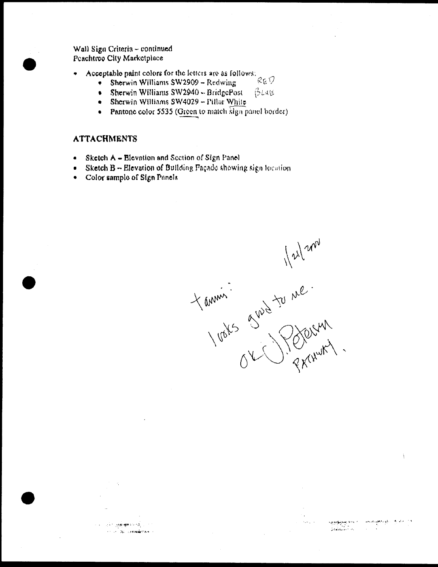Wall Sign Criteria - continued Peachtree City Marketplace

- Acceptable paint colors for the letters are as follows:  $\bullet$  $Re$   $\hat{V}$ 
	- Sherwin Williams SW2909 Redwing
	- Sherwin Williams SW2940 BridgePost  $B$ La $B$  $\bullet$
	- Sherwin Williams SW4029 Pillar White  $\bullet$
	- Pantone color 5535 (Green to match sign panel border)  $\bullet$

## **ATTACHMENTS**

- Sketch A Blovation and Section of Sign Panel  $\epsilon$
- Sketch  $B \sim$  Elevation of Bullding Façade showing sign focation  $\bullet$
- Color sample of Sign Panels  $\bullet$

**TO MANAGER A SHOCK** 

**CONTRACTOR CONTRACTOR** 

Yourning grows to me.

 $\label{eq:2} \frac{\partial}{\partial t} \frac{\partial}{\partial t} \frac{\partial}{\partial x} \frac{\partial}{\partial x} \frac{\partial}{\partial x} \frac{\partial}{\partial x} \frac{\partial}{\partial x} \frac{\partial}{\partial x} \frac{\partial}{\partial x} \frac{\partial}{\partial x}$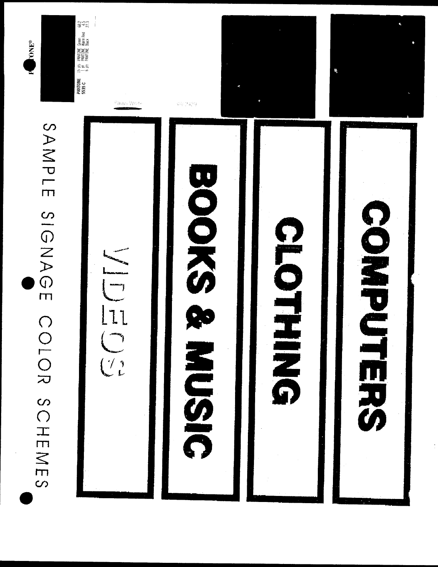





 $\mathcal{O}_{\partial \mathrm{RHS}}$  Wade 562,2439 COLLETT





CICONES



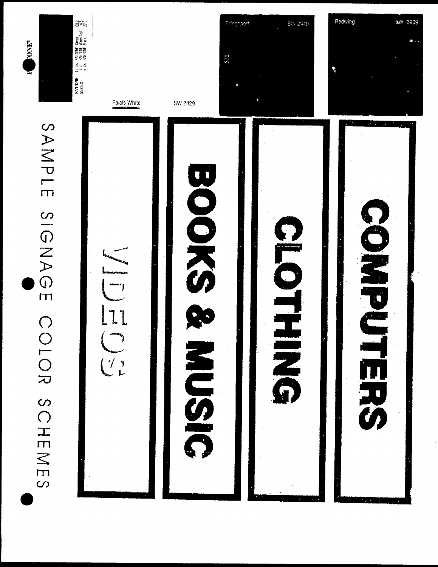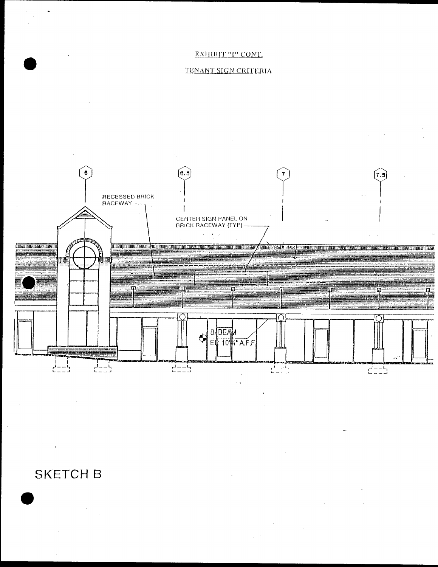# EXHIBIT "I" CONT.

# TENANT SIGN CRITERIA



# **SKETCH B**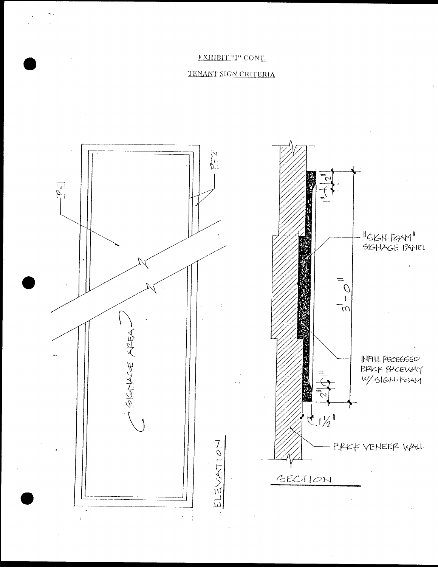# EXHIBIT "I" CONT.

# TENANT SIGN CRITERIA

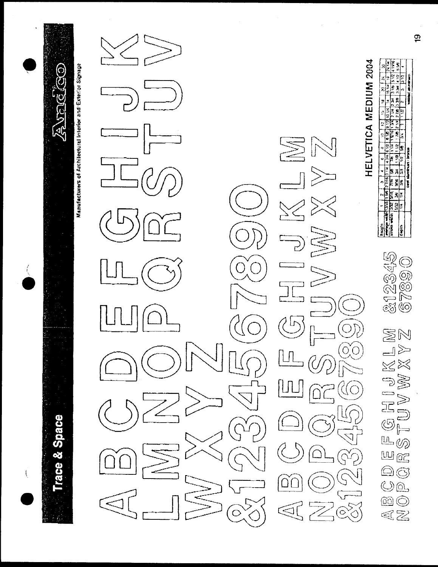

Manufacturers of Architectural Interior and Exterior Signage



HELVETICA MEDIUM 2004

|              |          |               |                       |               |                               |      |        | $\overline{\cdot}$ |                            |               |                                                  | $\boldsymbol{a}$ |
|--------------|----------|---------------|-----------------------|---------------|-------------------------------|------|--------|--------------------|----------------------------|---------------|--------------------------------------------------|------------------|
|              |          |               | 1.567766314           |               |                               |      |        |                    | <b>A [912] 10 UC</b>       |               | 1614                                             |                  |
| stroke width |          | 58E           | $\frac{1}{\sqrt{16}}$ | $\frac{1}{2}$ | $\mathbb{F}$                  | in L | 131511 |                    | <b>142 AM S PE</b>         |               | $\frac{3}{10}$ in $\frac{1}{3}$ in $\frac{1}{2}$ | 1176.            |
|              | PK   DRS |               | $-300$                | $\frac{1}{2}$ | 181181                        |      |        |                    | $1.70$ $2.71$ $1.4$ $2.72$ | $\frac{1}{2}$ |                                                  | 334 4 12 556     |
| į            |          | $\frac{1}{2}$ | Ŗ                     | <br>ខេ        | $\frac{1}{2}$ 58              |      | ă      |                    |                            |               |                                                  |                  |
|              |          |               |                       |               | <b>Card showings - brocas</b> |      |        |                    |                            |               | <b>Problems</b> and residence                    |                  |

212345<br>67890 **N** KLIY<br>XY **BAY** FGHIJ<br>TUVW  $\underline{\mathbf{u}}$ .<br>Ød  $\underline{\mathbb{W}}\boxtimes$  $\circledS$  A  $O_4$  $\textcircled{\scriptsize{m}}$ QZ)

 $\overline{9}$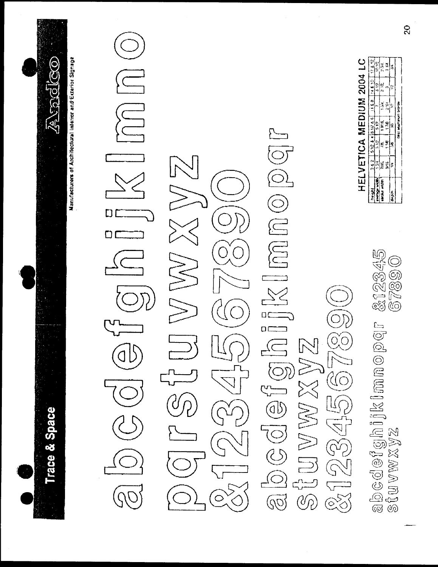

# $\begin{array}{c}\n\hline\n\end{array}$  $\begin{picture}(45,17) \put(0,0){\line(1,0){155}} \put(15,0){\line(1,0){155}} \put(15,0){\line(1,0){155}} \put(15,0){\line(1,0){155}} \put(15,0){\line(1,0){155}} \put(15,0){\line(1,0){155}} \put(15,0){\line(1,0){155}} \put(15,0){\line(1,0){155}} \put(15,0){\line(1,0){155}} \put(15,0){\line(1,0){155}} \put(15,0){\line(1,0){155}} \$

W W XX W Z  $(300456678)$ SIUVWXVZ  $\begin{bmatrix} 1 \\ -1 \\ 1 \\ 1 \end{bmatrix}$  $\hat{\circ}$ 

&12345<br>67890 abcdefghiklmnopqr<br>stuvwxyz

# HELVETICA MEDIUM 2004 LC

|               |    |                                               | Casil adult inuit bronze |   | Ż   | ion                   |
|---------------|----|-----------------------------------------------|--------------------------|---|-----|-----------------------|
| ž,            |    |                                               | ١£                       | 3 |     |                       |
| $\frac{1}{2}$ |    | 착                                             | $\mathbb{R}^n$           | ¥ |     |                       |
| ž,            | ξ, | J                                             | aria.                    | Ę | 회통증 | <b>AQM</b><br>india . |
| ić i          | ă  |                                               | 512                      | ă |     |                       |
|               |    | 512 & 4 B 12 & 6   11 & 8   14 & 10   17 & 12 |                          |   |     |                       |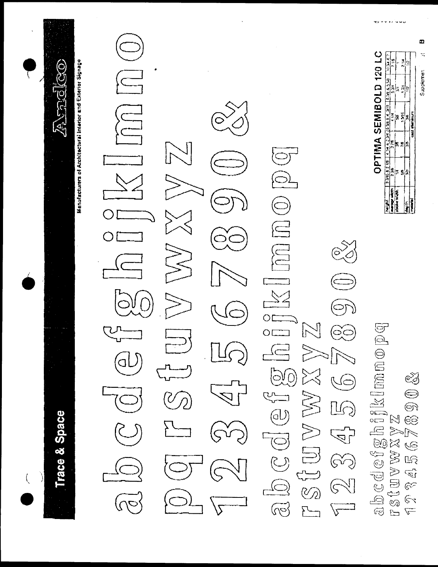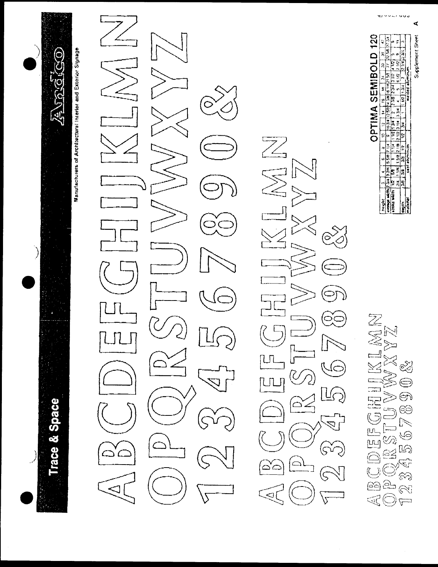

**Trace & Space** 

Manufacturers of Architectural Interior and Exterior Signage

 $\circ$ 

L MAIN  $\overline{z}$  $\sqrt{2}$  $\frac{1}{\varphi}$ 

120 Supplement Sheet  $\begin{array}{|c|c|c|c|c|}\n\hline\n16 & 18 & 24 & 30 & 35 \\
\hline\n14 & 39 & 16 & 18 & 58 & 77 & 12 & 56 \\
\hline\n2 & 39 & 7 & 30 & 12 & 12 & 12 & 4 \\
\hline\n\end{array}$  $\frac{1}{2} \frac{1}{14} \frac{1}{2} \frac{1}{24}$ **OPTIMA SEMIBOLD**  $\frac{2}{3}$  $\frac{1}{2}$ <br>  $\frac{1}{2}$ <br>  $\frac{1}{2}$ <br>  $\frac{1}{2}$ <br>  $\frac{1}{2}$ <br>  $\frac{1}{2}$  $\frac{1}{2}$ 의원 E ļ5 anska Maniz degih<br>matural

SLMAN ₹ න්  $\bigodot$ ලිපි  $\mathbb{R}$ <u>16</u> نسا<br>سے  $\underline{\mathbb{R}}$  $\frac{1}{2}$ <u>දින</u>  $\tilde{\mathbb{R}}$  $\overline{a}$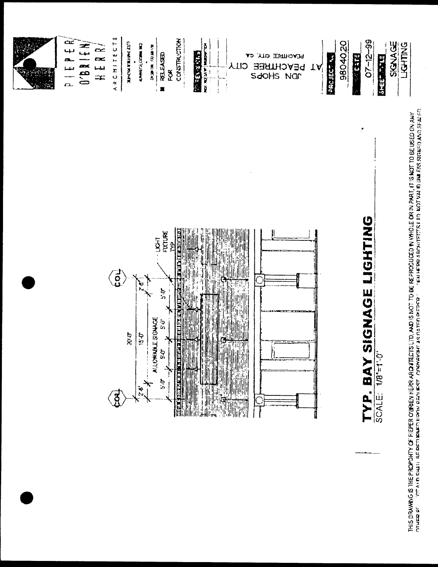